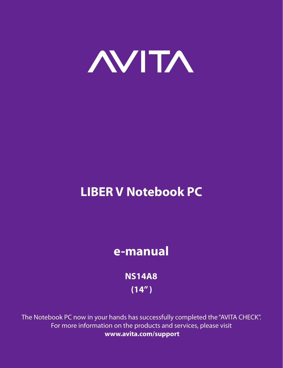

# **LIBER V Notebook PC**

# **e-manual**

**NS14A8 (14" )**

The Notebook PC now in your hands has successfully completed the "AVITA CHECK". For more information on the products and services, please visit **www.avita.com/support**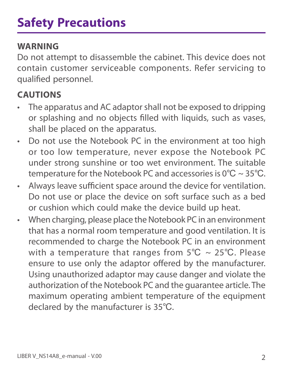#### **WARNING**

Do not attempt to disassemble the cabinet. This device does not contain customer serviceable components. Refer servicing to qualified personnel.

### **CAUTIONS**

- The apparatus and AC adaptor shall not be exposed to dripping or splashing and no objects filled with liquids, such as vases, shall be placed on the apparatus.
- Do not use the Notebook PC in the environment at too high or too low temperature, never expose the Notebook PC under strong sunshine or too wet environment. The suitable temperature for the Notebook PC and accessories is 0℃ ~ 35℃.
- Always leave sufficient space around the device for ventilation. Do not use or place the device on soft surface such as a bed or cushion which could make the device build up heat.
- When charging, please place the Notebook PC in an environment that has a normal room temperature and good ventilation. It is recommended to charge the Notebook PC in an environment with a temperature that ranges from  $5^{\circ}C \sim 25^{\circ}C$ . Please ensure to use only the adaptor offered by the manufacturer. Using unauthorized adaptor may cause danger and violate the authorization of the Notebook PC and the guarantee article. The maximum operating ambient temperature of the equipment declared by the manufacturer is 35℃.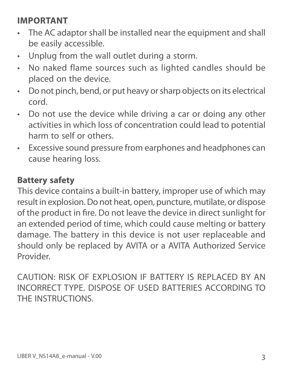#### **IMPORTANT**

- The AC adaptor shall be installed near the equipment and shall be easily accessible.
- Unplug from the wall outlet during a storm.
- No naked flame sources such as lighted candles should be placed on the device.
- Do not pinch, bend, or put heavy or sharp objects on its electrical cord.
- Do not use the device while driving a car or doing any other activities in which loss of concentration could lead to potential harm to self or others.
- Excessive sound pressure from earphones and headphones can cause hearing loss.

#### **Battery safety**

This device contains a built-in battery, improper use of which may result in explosion. Do not heat, open, puncture, mutilate, or dispose of the product in fire. Do not leave the device in direct sunlight for an extended period of time, which could cause melting or battery damage. The battery in this device is not user replaceable and should only be replaced by AVITA or a AVITA Authorized Service Provider.

CAUTION: RISK OF EXPLOSION IF BATTERY IS REPLACED BY AN INCORRECT TYPE. DISPOSE OF USED BATTERIES ACCORDING TO THE INSTRUCTIONS.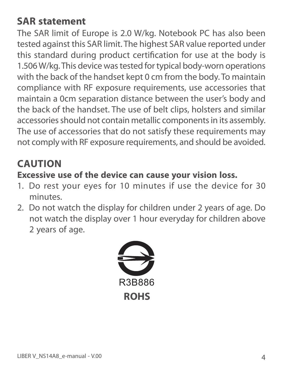# **SAR statement**

The SAR limit of Europe is 2.0 W/kg. Notebook PC has also been tested against this SAR limit. The highest SAR value reported under this standard during product certification for use at the body is 1.506 W/kg. This device was tested for typical body-worn operations with the back of the handset kept 0 cm from the body. To maintain compliance with RF exposure requirements, use accessories that maintain a 0cm separation distance between the user's body and the back of the handset. The use of belt clips, holsters and similar accessories should not contain metallic components in its assembly. The use of accessories that do not satisfy these requirements may not comply with RF exposure requirements, and should be avoided.

## **CAUTION**

#### **Excessive use of the device can cause your vision loss.**

- 1. Do rest your eyes for 10 minutes if use the device for 30 minutes.
- 2. Do not watch the display for children under 2 years of age. Do not watch the display over 1 hour everyday for children above 2 years of age.

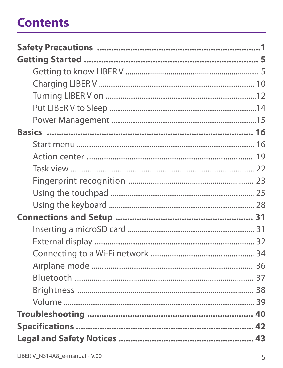# **Contents**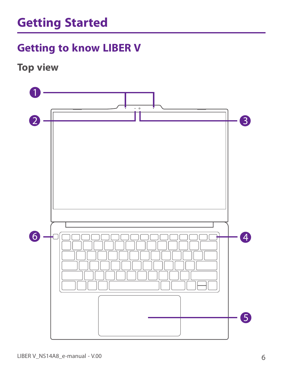# **Getting to know LIBER V**

**Top view**

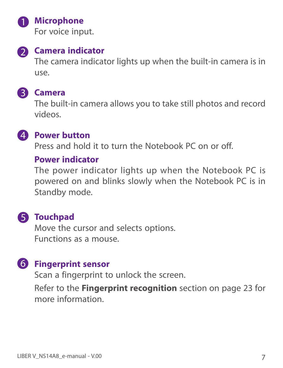

#### **A** Microphone

For voice input.



#### **2** Camera indicator

The camera indicator lights up when the built-in camera is in use.

#### **Camera**

The built-in camera allows you to take still photos and record videos.



#### **29 Power button**

Press and hold it to turn the Notebook PC on or off.

#### **Power indicator**

The power indicator lights up when the Notebook PC is powered on and blinks slowly when the Notebook PC is in Standby mode.

# **5** Touchpad

Move the cursor and selects options. Functions as a mouse.

# **Fingerprint sensor**

Scan a fingerprint to unlock the screen.

Refer to the **Fingerprint recognition** section on page 23 for more information.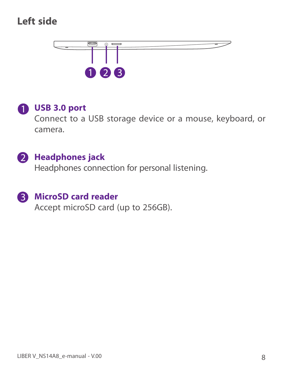# **Left side**



#### **USB 3.0 port**

Connect to a USB storage device or a mouse, keyboard, or camera.

### **2** Headphones jack

Headphones connection for personal listening.

#### **MicroSD card reader**

Accept microSD card (up to 256GB).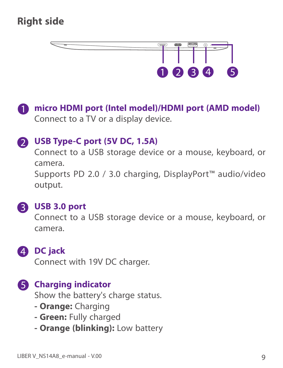# **Right side**



**micro HDMI port (Intel model)/HDMI port (AMD model)** Connect to a TV or a display device.

#### **USB Type-C port (5V DC, 1.5A)**

Connect to a USB storage device or a mouse, keyboard, or camera.

Supports PD 2.0 / 3.0 charging, DisplayPort™ audio/video output.



#### **USB 3.0 port**

Connect to a USB storage device or a mouse, keyboard, or camera.



Connect with 19V DC charger.

### **6** Charging indicator

Show the battery's charge status.

- **Orange:** Charging
- **Green:** Fully charged
- **Orange (blinking):** Low battery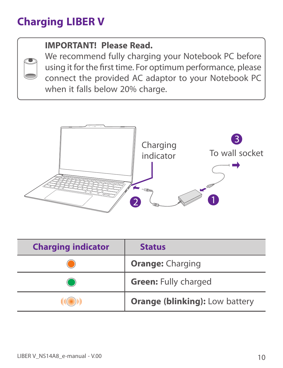# **Charging LIBER V**

#### **IMPORTANT! Please Read.**

We recommend fully charging your Notebook PC before using it for the first time. For optimum performance, please connect the provided AC adaptor to your Notebook PC when it falls below 20% charge.



| <b>Charging indicator</b> | <b>Status</b>                         |
|---------------------------|---------------------------------------|
|                           | <b>Orange: Charging</b>               |
|                           | <b>Green: Fully charged</b>           |
|                           | <b>Orange (blinking): Low battery</b> |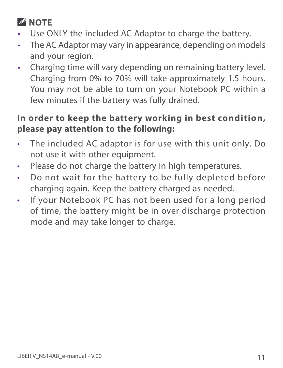# **NOTE**

- Use ONLY the included AC Adaptor to charge the battery.
- The AC Adaptor may vary in appearance, depending on models and your region.
- Charging time will vary depending on remaining battery level. Charging from 0% to 70% will take approximately 1.5 hours. You may not be able to turn on your Notebook PC within a few minutes if the battery was fully drained.

#### **In order to keep the battery working in best condition, please pay attention to the following:**

- The included AC adaptor is for use with this unit only. Do not use it with other equipment.
- Please do not charge the battery in high temperatures.
- Do not wait for the battery to be fully depleted before charging again. Keep the battery charged as needed.
- If your Notebook PC has not been used for a long period of time, the battery might be in over discharge protection mode and may take longer to charge.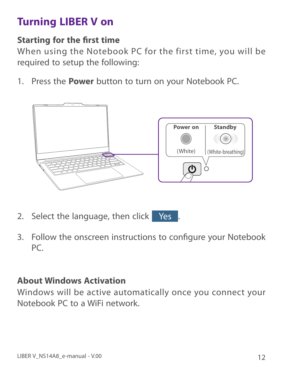# **Turning LIBER V on**

#### **Starting for the first time**

When using the Notebook PC for the first time, you will be required to setup the following:

1. Press the **Power** button to turn on your Notebook PC.



- 2. Select the language, then click Yes
- 3. Follow the onscreen instructions to configure your Notebook PC.

#### **About Windows Activation**

Windows will be active automatically once you connect your Notebook PC to a WiFi network.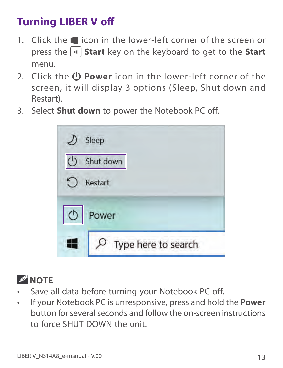# **Turning LIBER V off**

- 1. Click the  $\blacksquare$  icon in the lower-left corner of the screen or press the **Start** key on the keyboard to get to the **Start** menu.
- 2. Click the  $\bigcirc$  **Power** icon in the lower-left corner of the screen, it will display 3 options (Sleep, Shut down and Restart).
- 3. Select **Shut down** to power the Notebook PC off.

| Sleep                   |  |
|-------------------------|--|
| Shut down               |  |
| Restart                 |  |
| <b>← Power</b>          |  |
| $O$ Type here to search |  |



- Save all data before turning your Notebook PC off.
- If your Notebook PC is unresponsive, press and hold the **Power** button for several seconds and follow the on-screen instructions to force SHUT DOWN the unit.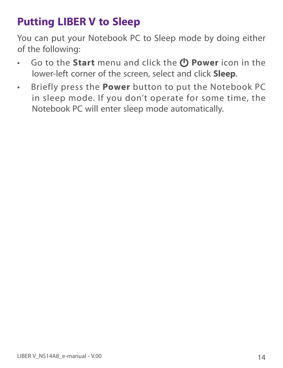# **Putting LIBER V to Sleep**

You can put your Notebook PC to Sleep mode by doing either of the following:

- **•** Go to the **Start** menu and click the *D* **Power** icon in the lower-left corner of the screen, select and click **Sleep**.
- Briefly press the **Power** button to put the Notebook PC in sleep mode. If you don't operate for some time, the Notebook PC will enter sleep mode automatically.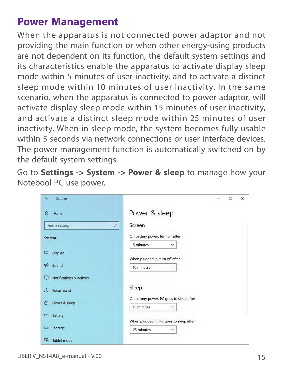# **Power Management**

When the apparatus is not connected power adaptor and not providing the main function or when other energy-using products are not dependent on its function, the default system settings and its characteristics enable the apparatus to activate display sleep mode within 5 minutes of user inactivity, and to activate a distinct sleep mode within 10 minutes of user inactivity. In the same scenario, when the apparatus is connected to power adaptor, will activate display sleep mode within 15 minutes of user inactivity, and activate a distinct sleep mode within 25 minutes of user inactivity. When in sleep mode, the system becomes fully usable within 5 seconds via network connections or user interface devices. The power management function is automatically switched on by the default system settings.

Go to **Settings -> System -> Power & sleep** to manage how your Notebool PC use power.

| $\leftarrow$<br>Settings     | $\times$<br>$\Box$                                            |
|------------------------------|---------------------------------------------------------------|
| Home<br>⋒                    | Power & sleep                                                 |
| Find a setting<br>$\varphi$  | Screen                                                        |
| System                       | On battery power, turn off after                              |
|                              | 5 minutes                                                     |
| <b>Display</b><br>Ļ,         |                                                               |
| (リ)<br>Sound                 | When plugged in, turn off after<br>10 minutes<br>$\checkmark$ |
| Notifications & actions<br>Ų |                                                               |
| Focus assist<br>⊅            | Sleep                                                         |
| ↺<br>Power & sleep           | On battery power, PC goes to sleep after                      |
| ▭                            | 15 minutes                                                    |
| <b>Battery</b>               | When plugged in, PC goes to sleep after                       |
| Storage<br>Ġ                 | 25 minutes<br>$\checkmark$                                    |
| 叼<br>Tablet mode             |                                                               |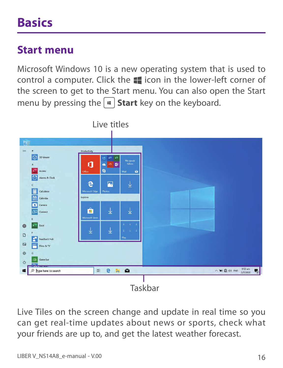# **Basics**

# **Start menu**

Microsoft Windows 10 is a new operating system that is used to control a computer. Click the  $\blacksquare$  icon in the lower-left corner of the screen to get to the Start menu. You can also open the Start menu by pressing the  $|\cdot|$  **Start** key on the keyboard.



Live Tiles on the screen change and update in real time so you can get real-time updates about news or sports, check what your friends are up to, and get the latest weather forecast.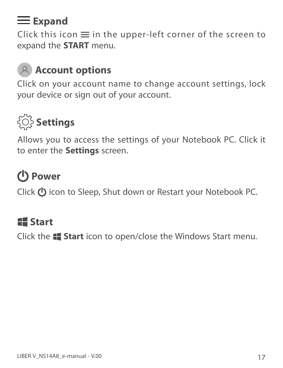# **Expand**

Click this icon  $\equiv$  in the upper-left corner of the screen to expand the **START** menu.

# **Account options**

Click on your account name to change account settings, lock your device or sign out of your account.



Allows you to access the settings of your Notebook PC. Click it to enter the **Settings** screen.

# **Power**

Click  $\bigcup$  icon to Sleep, Shut down or Restart your Notebook PC.

# **Start**

Click the **Start** icon to open/close the Windows Start menu.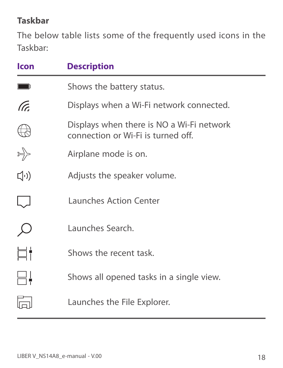#### **Taskbar**

The below table lists some of the frequently used icons in the Taskbar:

| <b>Icon</b>     | <b>Description</b>                                                              |
|-----------------|---------------------------------------------------------------------------------|
|                 | Shows the battery status.                                                       |
| (Tc             | Displays when a Wi-Fi network connected.                                        |
|                 | Displays when there is NO a Wi-Fi network<br>connection or Wi-Fi is turned off. |
| $\sum_{\alpha}$ | Airplane mode is on.                                                            |
| $\Box^{(1)}$    | Adjusts the speaker volume.                                                     |
|                 | <b>Launches Action Center</b>                                                   |
|                 | Launches Search.                                                                |
|                 | Shows the recent task.                                                          |
|                 | Shows all opened tasks in a single view.                                        |
|                 | Launches the File Explorer.                                                     |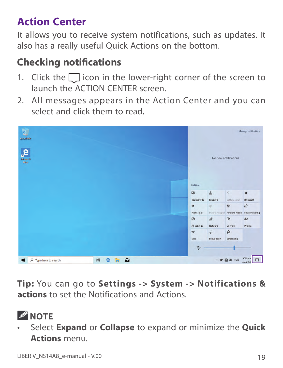# **Action Center**

It allows you to receive system notifications, such as updates. It also has a really useful Quick Actions on the bottom.

# **Checking notifications**

- 1. Click the  $\Box$  icon in the lower-right corner of the screen to launch the ACTION CENTER screen.
- 2. All messages appears in the Action Center and you can select and click them to read.



**Tip:** You can go to **Settings -> System -> Notifications & actions** to set the Notifications and Actions.

• Select **Expand** or **Collapse** to expand or minimize the **Quick Actions** menu.

*A* NOTE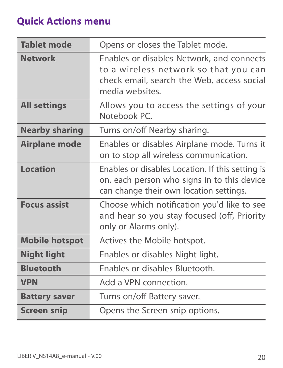### **Quick Actions menu**

| <b>Tablet mode</b>    | Opens or closes the Tablet mode.                                                                                                                    |
|-----------------------|-----------------------------------------------------------------------------------------------------------------------------------------------------|
| <b>Network</b>        | Enables or disables Network, and connects<br>to a wireless network so that you can<br>check email, search the Web, access social<br>media websites. |
| <b>All settings</b>   | Allows you to access the settings of your<br>Notebook PC.                                                                                           |
| <b>Nearby sharing</b> | Turns on/off Nearby sharing.                                                                                                                        |
| <b>Airplane mode</b>  | Enables or disables Airplane mode. Turns it<br>on to stop all wireless communication.                                                               |
| <b>Location</b>       | Enables or disables Location. If this setting is<br>on, each person who signs in to this device<br>can change their own location settings.          |
| <b>Focus assist</b>   | Choose which notification you'd like to see<br>and hear so you stay focused (off, Priority<br>only or Alarms only).                                 |
| <b>Mobile hotspot</b> | Actives the Mobile hotspot.                                                                                                                         |
| <b>Night light</b>    | Enables or disables Night light.                                                                                                                    |
| <b>Bluetooth</b>      | Enables or disables Bluetooth.                                                                                                                      |
| <b>VPN</b>            | Add a VPN connection.                                                                                                                               |
| <b>Battery saver</b>  | Turns on/off Battery saver.                                                                                                                         |
| <b>Screen snip</b>    | Opens the Screen snip options.                                                                                                                      |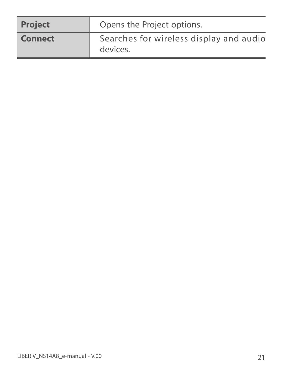| <b>Project</b> | Opens the Project options.                          |
|----------------|-----------------------------------------------------|
| <b>Connect</b> | Searches for wireless display and audio<br>devices. |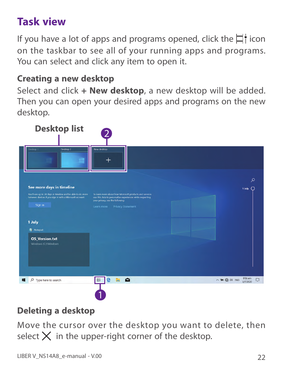# **Task view**

If you have a lot of apps and programs opened, click the  $\Box$  icon on the taskbar to see all of your running apps and programs. You can select and click any item to open it.

#### **Creating a new desktop**

Select and click **+ New desktop**, a new desktop will be added. Then you can open your desired apps and programs on the new desktop.



### **Deleting a desktop**

Move the cursor over the desktop you want to delete, then select  $\times$  in the upper-right corner of the desktop.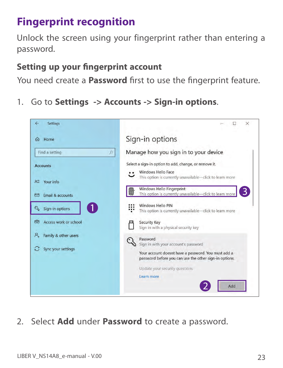# **Fingerprint recognition**

Unlock the screen using your fingerprint rather than entering a password.

#### **Setting up your fingerprint account**

You need create a **Password** first to use the fingerprint feature.

1. Go to **Settings -> Accounts -> Sign-in options**.



2. Select **Add** under **Password** to create a password.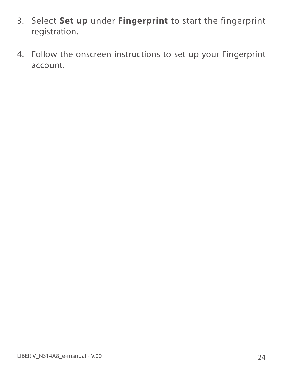- 3. Select **Set up** under **Fingerprint** to start the fingerprint registration.
- 4. Follow the onscreen instructions to set up your Fingerprint account.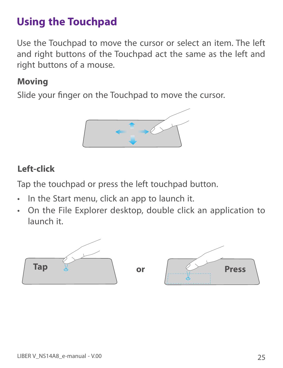# **Using the Touchpad**

Use the Touchpad to move the cursor or select an item. The left and right buttons of the Touchpad act the same as the left and right buttons of a mouse.

#### **Moving**

Slide your finger on the Touchpad to move the cursor.



#### **Left-click**

Tap the touchpad or press the left touchpad button.

- In the Start menu, click an app to launch it.
- On the File Explorer desktop, double click an application to launch it.

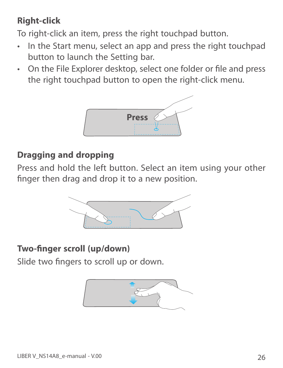# **Right-click**

To right-click an item, press the right touchpad button.

- In the Start menu, select an app and press the right touchpad button to launch the Setting bar.
- On the File Explorer desktop, select one folder or file and press the right touchpad button to open the right-click menu.



#### **Dragging and dropping**

Press and hold the left button. Select an item using your other finger then drag and drop it to a new position.



#### **Two-finger scroll (up/down)**

Slide two fingers to scroll up or down.

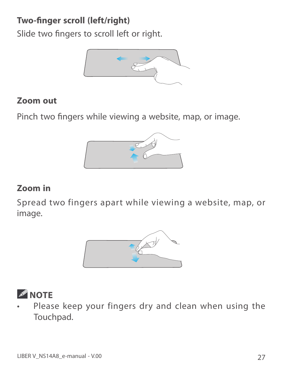### **Two-finger scroll (left/right)**

Slide two fingers to scroll left or right.



#### **Zoom out**

Pinch two fingers while viewing a website, map, or image.



#### **Zoom in**

Spread two fingers apart while viewing a website, map, or image.





Please keep your fingers dry and clean when using the Touchpad.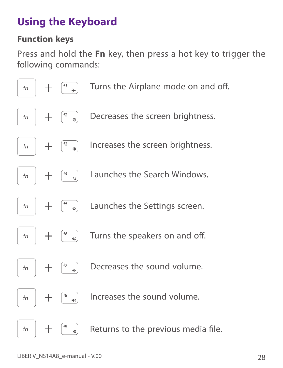# **Using the Keyboard**

#### **Function keys**

Press and hold the **Fn** key, then press a hot key to trigger the following commands:

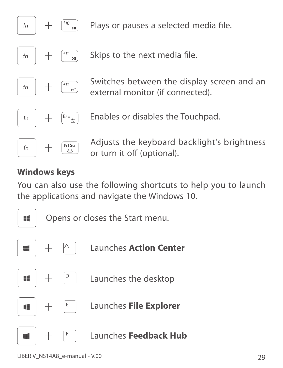

Plays or pauses a selected media file.

Skips to the next media file.

Switches between the display screen and an external monitor (if connected).

Enables or disables the Touchpad.

Adjusts the keyboard backlight's brightness or turn it off (optional).

#### **Windows keys**

You can also use the following shortcuts to help you to launch the applications and navigate the Windows 10.

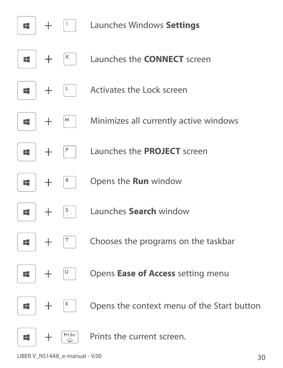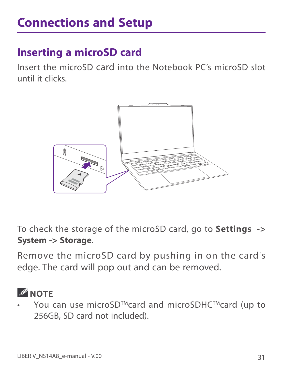# **Inserting a microSD card**

Insert the microSD card into the Notebook PC's microSD slot until it clicks.



To check the storage of the microSD card, go to **Settings -> System -> Storage**.

Remove the microSD card by pushing in on the card's edge. The card will pop out and can be removed.

# **NOTE**

You can use microSD™card and microSDHC™card (up to 256GB, SD card not included).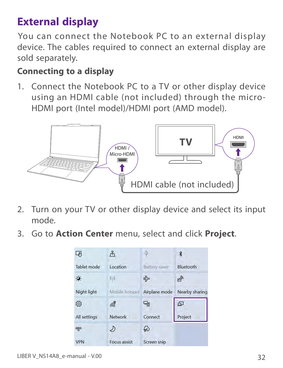# **External display**

You can connect the Notebook PC to an external display device. The cables required to connect an external display are sold separately.

#### **Connecting to a display**

1. Connect the Notebook PC to a TV or other display device using an HDMI cable (not included) through the micro-HDMI port (Intel model)/HDMI port (AMD model).



- 2. Turn on your TV or other display device and select its input mode.
- 3. Go to **Action Center** menu, select and click **Project**.

| Tablet mode  | Location       | Battery saver  | Bluetooth      |
|--------------|----------------|----------------|----------------|
|              | (17)           | 망              |                |
| Night light  | Mobile hotspot | Airplane mode  | Nearby sharing |
| දිරි}        | 屌              | 국 <sub>인</sub> | 中              |
| All settings | Network        | Connect        | Project        |
| ళ్యం         |                | ક∉             |                |
| VPN          | Focus assist   | Screen snip    |                |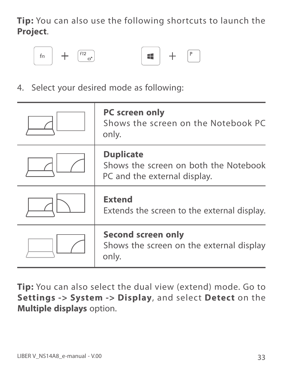**Tip:** You can also use the following shortcuts to launch the **Project**.





4. Select your desired mode as following:

| <b>PC screen only</b><br>Shows the screen on the Notebook PC<br>only.                     |
|-------------------------------------------------------------------------------------------|
| <b>Duplicate</b><br>Shows the screen on both the Notebook<br>PC and the external display. |
| <b>Extend</b><br>Extends the screen to the external display.                              |
| <b>Second screen only</b><br>Shows the screen on the external display<br>only.            |

**Tip:** You can also select the dual view (extend) mode. Go to **Settings -> System -> Display**, and select **Detect** on the **Multiple displays** option.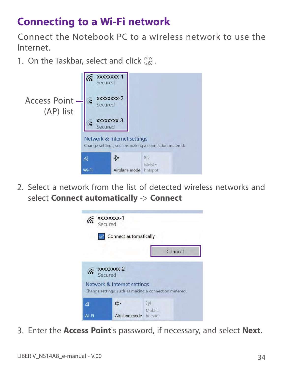# **Connecting to a Wi-Fi network**

Connect the Notebook PC to a wireless network to use the Internet.

1. On the Taskbar, select and click  $\bigoplus$ .



2. Select a network from the list of detected wireless networks and select **Connect automatically** -> **Connect**



3. Enter the **Access Point**'s password, if necessary, and select **Next**.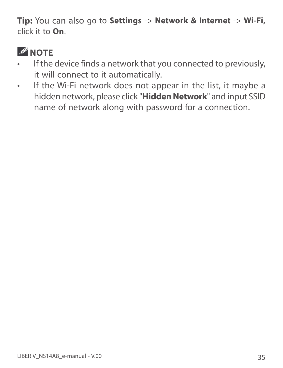**Tip:** You can also go to **Settings** -> **Network & Internet** -> **Wi-Fi,**  click it to **On**.



- If the device finds a network that you connected to previously, it will connect to it automatically.
- If the Wi-Fi network does not appear in the list, it maybe a hidden network, please click "**Hidden Network**" and input SSID name of network along with password for a connection.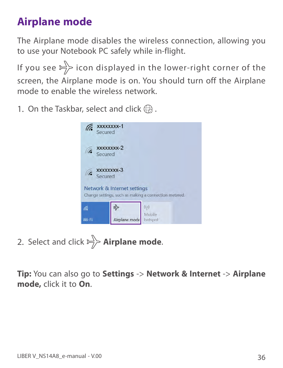# **Airplane mode**

The Airplane mode disables the wireless connection, allowing you to use your Notebook PC safely while in-flight.

If you see  $\Rightarrow$  icon displayed in the lower-right corner of the screen, the Airplane mode is on. You should turn off the Airplane mode to enable the wireless network.

1. On the Taskbar, select and click  $\bigoplus$ .



2. Select and click  $\Rightarrow$  **Airplane mode.** 

**Tip:** You can also go to **Settings** -> **Network & Internet** -> **Airplane mode,** click it to **On**.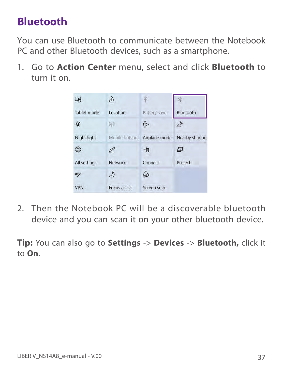# **Bluetooth**

You can use Bluetooth to communicate between the Notebook PC and other Bluetooth devices, such as a smartphone.

1. Go to **Action Center** menu, select and click **Bluetooth** to turn it on.



2. Then the Notebook PC will be a discoverable bluetooth device and you can scan it on your other bluetooth device.

**Tip:** You can also go to **Settings** -> **Devices** -> **Bluetooth,** click it to **On**.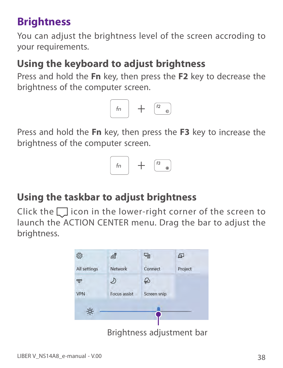# **Brightness**

You can adjust the brightness level of the screen accroding to your requirements.

# **Using the keyboard to adjust brightness**

Press and hold the **Fn** key, then press the **F2** key to decrease the brightness of the computer screen.



Press and hold the **Fn** key, then press the **F3** key to increase the brightness of the computer screen.



# **Using the taskbar to adjust brightness**

Click the  $\Box$  icon in the lower-right corner of the screen to launch the ACTION CENTER menu. Drag the bar to adjust the brightness.

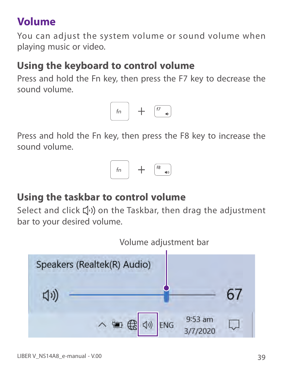# **Volume**

You can adjust the system volume or sound volume when playing music or video.

# **Using the keyboard to control volume**

Press and hold the Fn key, then press the F7 key to decrease the sound volume.



Press and hold the Fn key, then press the F8 key to increase the sound volume.



# **Using the taskbar to control volume**

Select and click  $\left(\!\left(\cdot\right)\!\right)$  on the Taskbar, then drag the adjustment bar to your desired volume.

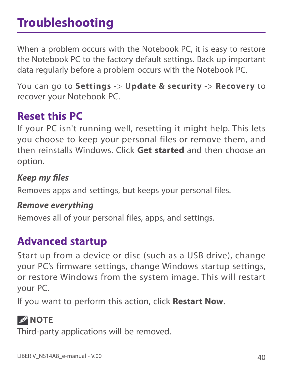# **Troubleshooting**

When a problem occurs with the Notebook PC, it is easy to restore the Notebook PC to the factory default settings. Back up important data regularly before a problem occurs with the Notebook PC.

You can go to **Settings** -> **Update & security** -> **Recovery** to recover your Notebook PC.

# **Reset this PC**

If your PC isn't running well, resetting it might help. This lets you choose to keep your personal files or remove them, and then reinstalls Windows. Click **Get started** and then choose an option.

*Keep my fi les* Removes apps and settings, but keeps your personal files.

*Remove everything* Removes all of your personal files, apps, and settings.

# **Advanced startup**

Start up from a device or disc (such as a USB drive), change your PC's firmware settings, change Windows startup settings, or restore Windows from the system image. This will restart your PC.

If you want to perform this action, click **Restart Now**.

# *A* NOTE

Third-party applications will be removed.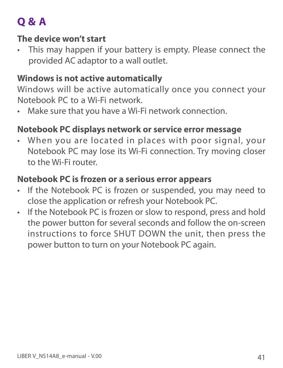# **Q & A**

#### **The device won't start**

This may happen if your battery is empty. Please connect the provided AC adaptor to a wall outlet.

#### **Windows is not active automatically**

Windows will be active automatically once you connect your Notebook PC to a Wi-Fi network.

Make sure that you have a Wi-Fi network connection.

#### **Notebook PC displays network or service error message**

• When you are located in places with poor signal, your Notebook PC may lose its Wi-Fi connection. Try moving closer to the Wi-Fi router.

#### **Notebook PC is frozen or a serious error appears**

- If the Notebook PC is frozen or suspended, you may need to close the application or refresh your Notebook PC.
- If the Notebook PC is frozen or slow to respond, press and hold the power button for several seconds and follow the on-screen instructions to force SHUT DOWN the unit, then press the power button to turn on your Notebook PC again.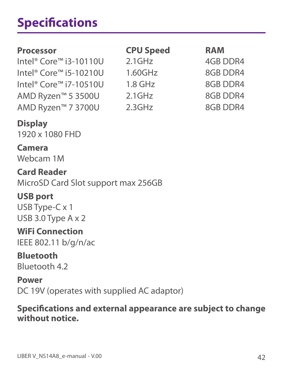# **Specifications**

| <b>Processor</b>                               | <b>CPU Speed</b> | <b>RAM</b>      |
|------------------------------------------------|------------------|-----------------|
| Intel <sup>®</sup> Core <sup>™</sup> i3-10110U | $2.1$ GHz        | <b>4GB DDR4</b> |
| Intel <sup>®</sup> Core <sup>™</sup> i5-10210U | 1.60GHz          | 8GB DDR4        |
| Intel <sup>®</sup> Core <sup>™</sup> i7-10510U | $1.8$ GHz        | 8GB DDR4        |
| AMD Ryzen™ 5 3500U                             | $2.1$ GHz        | 8GB DDR4        |
| AMD Ryzen™ 7 3700U                             | 2.3GHz           | 8GB DDR4        |
| <b>DESCRIPTION AND LOCATION</b>                |                  |                 |

**Display**

1920 x 1080 FHD

**Camera** Webcam 1M

**Card Reader** MicroSD Card Slot support max 256GB

#### **USB port**

USB Type-C x 1 USB 3.0 Type A x 2

**WiFi Connection**

IEEE 802.11 b/g/n/ac

# **Bluetooth**

Bluetooth 4.2

**Power**

DC 19V (operates with supplied AC adaptor)

#### **Specifi cations and external appearance are subject to change without notice.**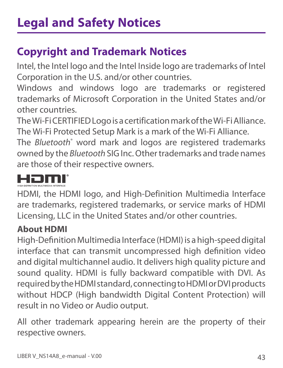# **Copyright and Trademark Notices**

Intel, the Intel logo and the Intel Inside logo are trademarks of Intel Corporation in the U.S. and/or other countries.

Windows and windows logo are trademarks or registered trademarks of Microsoft Corporation in the United States and/or other countries.

The Wi-Fi CERTIFIED Logo is a certification mark of the Wi-Fi Alliance. The Wi-Fi Protected Setup Mark is a mark of the Wi-Fi Alliance.

The *Bluetooth*® word mark and logos are registered trademarks owned by the *Bluetooth* SIG Inc. Other trademarks and trade names are those of their respective owners.



HDMI, the HDMI logo, and High-Definition Multimedia Interface are trademarks, registered trademarks, or service marks of HDMI Licensing, LLC in the United States and/or other countries.

### **About HDMI**

High-Definition Multimedia Interface (HDMI) is a high-speed digital interface that can transmit uncompressed high definition video and digital multichannel audio. It delivers high quality picture and sound quality. HDMI is fully backward compatible with DVI. As required by the HDMI standard, connecting to HDMI or DVI products without HDCP (High bandwidth Digital Content Protection) will result in no Video or Audio output.

All other trademark appearing herein are the property of their respective owners.